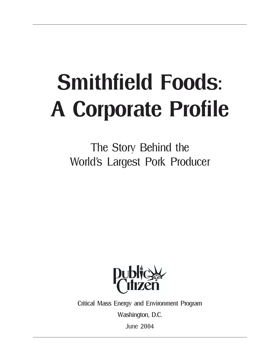# Smithfield Foods: A Corporate Profile

The Story Behind the World's Largest Pork Producer



Critical Mass Energy and Environment Program

Washington, D.C.

June 2004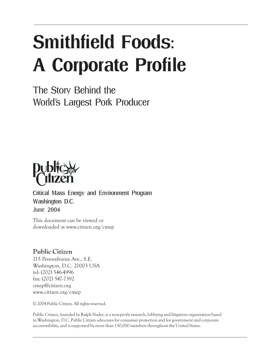## Smithfield Foods: A Corporate Profile

The Story Behind the World's Largest Pork Producer



Critical Mass Energy and Environment Program Washington D.C. June 2004

This document can be viewed or downloaded at www.citizen.org/cmep

#### **Public Citizen**

215 Pennsylvania Ave., S.E. Washington, D.C. 20003 USA tel: (202) 546-4996 fax: (202) 547-7392 cmep@citizen.org www.citizen.org/cmep

© 2004 Public Citizen. All rights reserved.

Public Citizen, founded by Ralph Nader, is a non-profit research, lobbying and litigation organization based in Washington, D.C. Public Citizen advocates for consumer protection and for government and corporate accountability, and is supported by more than 150,000 members throughout the United States.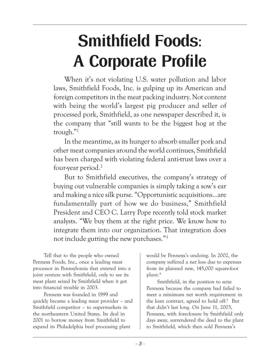### Smithfield Foods: A Corporate Profile

When it's not violating U.S. water pollution and labor laws, Smithfield Foods, Inc. is gulping up its American and foreign competitors in the meat packing industry. Not content with being the world's largest pig producer and seller of processed pork, Smithfield, as one newspaper described it, is the company that "still wants to be the biggest hog at the trough. $"$ <sup>1</sup>

In the meantime, as its hunger to absorb smaller pork and other meat companies around the world continues, Smithfield has been charged with violating federal anti-trust laws over a four-year period.2

But to Smithfield executives, the company's strategy of buying out vulnerable companies is simply taking a sow's ear and making a nice silk purse. "Opportunistic acquisitions...are fundamentally part of how we do business," Smithfield President and CEO C. Larry Pope recently told stock market analysts. "We buy them at the right price. We know how to integrate them into our organization. That integration does not include gutting the new purchases."<sup>3</sup>

Tell that to the people who owned Pennexx Foods, Inc., once a leading meat processor in Pennsylvania that entered into a joint venture with Smithfield, only to see its meat plant seized by Smithfield when it got into financial trouble in 2003.

Pennexx was founded in 1999 and quickly became a leading meat provider – and Smithfield competitor – to supermarkets in the northeastern United States. Its deal in 2001 to borrow money from Smithfield to expand its Philadelphia beef processing plant

would be Pennexx's undoing. In 2002, the company suffered a net loss due to expenses from its planned new, 145,000 square-foot plant.4

Smithfield, in the position to seize Pennexx because the company had failed to meet a minimum net worth requirement in the loan contract, agreed to hold off.5 But that didn't last long. On June 11, 2003, Pennexx, with foreclosure by Smithfield only days away, surrendered the deed to the plant to Smithfield, which then sold Pennexx's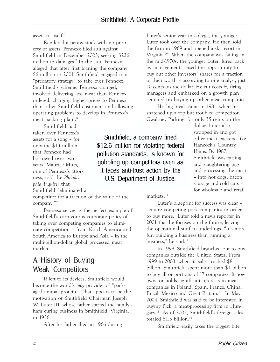assets to itself.<sup>6</sup>

Rendered a penny stock with no property or assets, Pennexx filed suit against Smithfield in December 2003, seeking \$226 million in damages.7 In the suit, Pennexx alleged that after first loaning the company \$6 million in 2001, Smithfield engaged in a "predatory strategy" to take over Pennexx. Smithfield's scheme, Pennexx charged, involved delivering less meat than Pennexx ordered, charging higher prices to Pennexx than other Smithfield customers and allowing operating problems to develop in Pennexx's meat packing plant.<sup>8</sup>

Smithfield had taken over Pennexx's assets for a song  $-$  for only the \$13 million that Pennexx had borrowed over two years. Maurice Mitts, one of Pennexx's attorneys, told the *Philadelphia Inquirer* that Smithfield "eliminated a

competitor for a fraction of the value of the company."9

Pennexx serves as the perfect example of Smithfield's carnivorous corporate policy of taking over competing companies to eliminate competition – from North America and South America to Europe and Asia – in the multi-billion-dollar global processed meat market.

#### A History of Buying Weak Competitors

If left to its devices, Smithfield would become the world's *only* provider of "packaged animal protein." That appears to be the motivation of Smithfield Chairman Joseph W. Luter III, whose father started the family's ham curing business in Smithfield, Virginia, in 1936.

After his father died in 1966 during

Luter's senior year in college, the younger Luter took over the company. He then sold the firm in 1969 and opened a ski resort in Virginia.10 When the company was failing in the mid-1970s, the younger Luter, lured back by management, seized the opportunity to buy out other investors' shares for a fraction of their worth – according to one analyst, just 10 cents on the dollar. He cut costs by firing managers and embarked on a growth plan centered on buying up other meat companies.

His big break came in 1981, when he snatched up a top but troubled competitor, Gwaltney Packing, for only 35 cents on the

dollar. Luter also swooped in and got other meat packers, like Hancock's Country Hams. By 1987, Smithfield was raising and slaughtering pigs and processing the meat - into hot dogs, bacon, sausage and cold cuts for wholesale and retail

Smithfield, a company fined \$12.6 million for violating federal pollution standards, is known for gobbling up competitors even as it faces anti-trust action by the U.S. Department of Justice.

markets.<sup>11</sup>

Luter's blueprint for success was clear acquire competing pork companies in order to buy more. Luter told a news reporter in 2001 that he focuses on the future, leaving the operational stuff to underlings. "It's more fun building a business than running a business," he said.<sup>12</sup>

In 1998, Smithfield branched out to buy companies outside the United States. From 1999 to 2003, when its sales reached \$8 billion, Smithfield spent more than \$1 billion to buy all or portions of 17 companies. It now owns or holds significant interests in meat companies in Poland, Spain, France, China, Brazil, Mexico and Great Britain.<sup>13</sup> In May 2004, Smithfield was said to be interested in buying Pick, a meat-processing firm in Hungary.<sup>14</sup> As of 2003, Smithfield's foreign sales totaled \$1.3 billion.<sup>15</sup>

Smithfield easily takes the biggest bite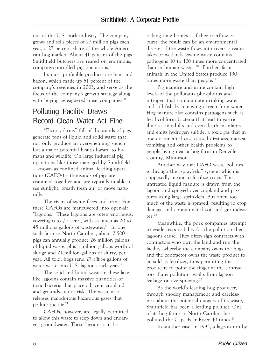out of the U.S. pork industry. The company grows and sells pieces of 27 million pigs each year, a 27 percent share of the whole American hog market. About 41 percent of the pigs Smithfield butchers are reared on enormous, company-controlled pig operations.

Its most profitable products are ham and bacon, which made up 51 percent of the companyís revenues in 2003, and serve as the focus of the company's growth strategy along with buying beleaguered meat companies.<sup>16</sup>

#### Polluting Facility Draws Record Clean Water Act Fine

ìFactory farmsî full of thousands of pigs generate tons of liquid and solid waste that not only produce an overwhelming stench but a major potential health hazard to humans and wildlife. On large industrial pig operations like those managed by Smithfield – known as confined animal feeding operations ( $CAFOs$ ) – thousands of pigs are crammed together and are typically unable to see sunlight, breath fresh air, or move naturally.

The rivers of swine feces and urine from these CAFOs are maneuvered into open-air ìlagoons.î These lagoons are often enormous, covering 6 to 7.5 acres, with as much as 20 to 45 millions gallons of wastewater.<sup>17</sup> In one such farm in North Carolina, about 2,500 pigs can annually produce 26 million gallons of liquid waste, plus a million gallons worth of sludge and 21 million gallons of slurry, per year. All told, hogs send 27 *billion* gallons of water waste into U.S. lagoons each year.<sup>18</sup>

The solid and liquid waste in these lakelike lagoons contain massive quantities of toxic bacteria that place adjacent cropland and groundwater at risk. The waste also releases malodorous hazardous gases that pollute the air.19

CAFOs, however, are legally permitted to allow this waste to seep down and endanger groundwater. These lagoons can be

ticking time bombs - if they overflow or burst, the result can be an environmental disaster if the waste flows into rivers, streams, lakes or wetlands. Swine waste contains pathogens 10 to 100 times more concentrated than in human waste.  $20$  Further, farm animals in the United States produce 130 times more waste than people.<sup>21</sup>

Pig manure and urine contain high levels of the pollutants phosphorus and nitrogen that contaminate drinking water and kill fish by removing oxygen from water. Hog manure also contains pathogens such as fecal coliform bacteria that lead to gastric illnesses in adults and even death in infants and emits hydrogen sulfide, a toxic gas that in one documented case caused dizziness, nausea, vomiting and other health problems to people living near a hog farm in Renville County, Minnesota.

Another way that CAFO waste pollutes is through the "sprayfield" system, which is supposedly meant to fertilize crops. The untreated liquid manure is drawn from the lagoon and sprayed over cropland and pastures using large sprinklers. But often too much of the waste is sprayed, resulting in crop damage and contaminated soil and groundwater. $^{22}$ 

Meanwhile, the pork companies attempt to evade responsibility for the pollution their lagoons cause. They often sign contracts with contractors who own the land and run the facility, whereby the company owns the hogs, and the contractor owns the waste product to be sold as fertilizer, thus permitting the producers to point the finger at the contractors if any pollution results from lagoon leakage or overspraying.<sup>23</sup>

As the world's leading hog producer, through shoddy management and carelessness about the potential dangers of its waste, Smithfield has been a leading polluter. One of its hog farms in North Carolina has polluted the Cape Fear River 40 times.<sup>24</sup>

In another case, in 1995, a lagoon run by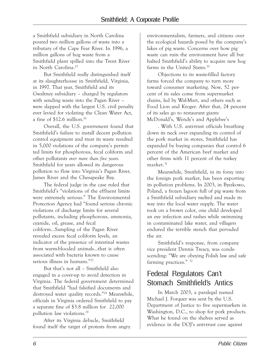a Smithfield subsidiary in North Carolina poured two million gallons of waste into a tributary of the Cape Fear River. In 1996, a million gallons of hog waste from a Smithfield plant spilled into the Trent River in North Carolina.25

But Smithfield really distinguished itself at its slaughterhouse in Smithfield, Virginia, in 1997. That year, Smithfield and its Gwaltney subsidiary - charged by regulators with sending waste into the Pagan River were slapped with the largest U.S. civil penalty ever levied for violating the Clean Water Act, a fine of \$12.6 million.26

Overall, the U.S. government found that Smithfield's failure to install decent pollution control equipment and treat its waste resulted in 5,000 violations of the company's permitted limits for phosphorous, fecal coliform and other pollutants *over more than five years*. Smithfield for years allowed its dangerous pollution to flow into Virginia's Pagan River, James River and the Chesapeake Bay.

The federal judge in the case ruled that Smithfield's "violations of the effluent limits were extremely serious." The Environmental Protection Agency had "found serious chronic violations of discharge limits for several pollutants, including phosphorous, ammonia, cyanide, oil, grease, and fecal coliform...Sampling of the Pagan River revealed excess fecal coliform levels, an indicator of the presence of intestinal wastes from warm-blooded animals...that is often associated with bacteria known to cause serious illness in humans."<sup>27</sup>

But that's not all - Smithfield also engaged in a cover-up to avoid detection in Virginia. The federal government determined that Smithfield "had falsified documents and destroyed water quality records."<sup>28</sup> Meanwhile, officials in Virginia ordered Smithfield to pay a separate fine of \$3.8 million for 22,000 pollution law violations.29

After its Virginia debacle, Smithfield found itself the target of protests from angry

environmentalists, farmers, and citizens over the ecological hazards posed by the companyís lakes of pig waste. Concerns over how pig waste can ruin the environment have all but halted Smithfield's ability to acquire new hog farms in the United States.30

Objections to its waste-filled factory farms forced the company to turn more toward consumer marketing. Now, 52 percent of its sales come from supermarket chains, led by Wal-Mart, and others such as Food Lion and Kroger. After that, 24 percent of its sales go to restaurant giants McDonald's, Wendy's and Applebee's

. With U.S. anti-trust officials breathing down its neck over expanding its control of the pork market in stores, Smithfield has expanded by buying companies that control 6 percent of the American beef market and other firms with 11 percent of the turkey market.<sup>31</sup>

Meanwhile, Smithfield, in its foray into the foreign pork market, has been exporting its pollution problems. In 2003, in Byszkowo, Poland, a frozen lagoon full of pig waste from a Smithfield subsidiary melted and made its way into the local water supply. The water took on a brown color, one child developed an eye infection and rashes while swimming in contaminated lake water, and villagers endured the terrible stench that pervaded the air.

Smithfield's response, from company vice president Dennis Treacy, was condescending: "We are obeying Polish law and safe farming practices. $\degree$  32

#### Federal Regulators Canít Stomach Smithfield's Antics

In March 2003, a paralegal named Michael J. Forquer was sent by the U.S. Department of Justice to five supermarkets in Washington, D.C., to shop for pork products. What he found on the shelves served as evidence in the DOJ's anti-trust case against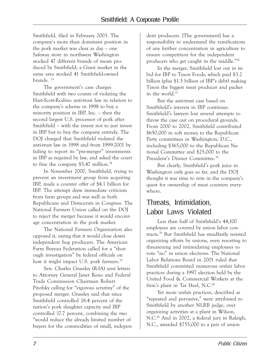Smithfield, filed in February 2003. The companyís more than dominant position in the pork market was clear as day – one Safeway store in northwest Washington stocked 47 different brands of meats produced by Smithfield; a Giant market in the same area stocked 41 Smithfield-owned brands. 33

The government's case charges Smithfield with two counts of violating the Hart-Scott-Rodino anti-trust law in relation to the companyís scheme in 1998 to buy a minority position in IBP, Inc.  $-$  then the second largest U.S. processor of pork after Smithfield – with the intent not to just invest in IBP but to buy the company entirely. The DOJ charged that Smithfield violated the anti-trust law in 1998 and from 1999-2001 by failing to report its "pre-merger" investments in IBP as required by law, and asked the court to fine the company \$5.47 million.<sup>34</sup>

In November 2000, Smithfield, trying to prevent an investment group from acquiring IBP, made a counter offer of \$4.1 billion for IBP. The attempt drew immediate criticism from farm groups and was well as both Republicans and Democrats in Congress. The National Farmers Union called on the DOJ to reject the merger because it would encourage concentration in the pork market.

The National Farmers Organization also opposed it, saying that it would close down independent hog producers. The American Farm Bureau Federation called for a "thorough investigation" by federal officials on how it might impact U.S. pork farmers.<sup>35</sup>

Sen. Charles Grassley (R-IA) sent letters to Attorney General Janet Reno and Federal Trade Commission Chairman Robert Pitofsky calling for "vigorous scrutiny" of the proposed merger. Grassley said that since Smithfield controlled 18.4 percent of the nation's pork slaughter capacity and IBP controlled 17.7 percent, combining the two ìwould reduce the already limited number of buyers for the commodities of small, independent producers. [The government] has a responsibility to understand the ramifications of any further concentration in agriculture to ensure competition for the independent producers who get caught in the middle.<sup>"36</sup>

In the merger, Smithfield lost out in its bid for IBP to Tyson Foods, which paid \$3.2 billion (plus  $$1.5$  billion of IBP's debt) making Tyson the biggest meat producer and packer in the world.37

But the anti-trust case based on Smithfield's interest in IBP continues. Smithfield's lawyers lost several attempts to throw the case out on procedural grounds. From 2000 to 2002, Smithfield contributed \$650,000 in soft money to the Republican Party committees in Washington, D.C., including \$365,000 to the Republican National Committee and \$25,000 to the President's Dinner Committee.<sup>38</sup>

But clearly, Smithfield's pork juice in Washington only goes so far, and the DOJ thought it was time to rein in the company's quest for ownership of meat counters everywhere.

#### Threats, Intimidation, Labor Laws Violated

Less than half of Smithfield's 44,100 employees are covered by union labor contracts.39 But Smithfield has steadfastly resisted organizing efforts by unions, even resorting to threatening and intimidating employees to vote "no" in union elections. The National Labor Relations Board in 2001 ruled that Smithfield committed numerous unfair labor practices during a 1997 election held by the United Food & Commercial Workers at the firm's plant in Tar Heel, N.C.<sup>40</sup>

Yet more unfair practices, described as "repeated and pervasive," were attributed to Smithfield by another NLRB judge, over organizing activities at a plant in Wilson, N.C.41 And in 2002, a federal jury in Raleigh, N.C., awarded \$755,000 to a pair of union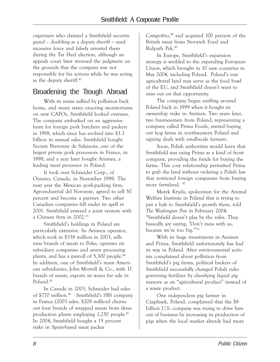organizers who claimed a Smithfield security guard – doubling as a deputy sheriff – used excessive force and falsely arrested them during the Tar Heel election, although an appeals court later reversed the judgment on the grounds that the company was not responsible for his actions while he was acting as the deputy sheriff.42

#### Broadening the Trough Abroad

With its name sullied by pollution back home, and many states enacting moratoriums on new CAFOs, Smithfield looked overseas. The company embarked on an aggressive hunt for foreign pork butchers and packers in 1998, which since has evolved into \$1.3 billion in annual sales. Smithfield bought Societe Bretonne de Salaisons, one of the largest private pork processors in France, in 1998, and a year later bought Animex, a leading meat processor in Poland.

It took over Schneider Corp., of Ontario, Canada, in November 1998. The next year the Mexican pork-packing firm, Agroindustrial del Noroeste, agreed to sell 50 percent and become a partner. Two other Canadian companies fell under its spell in 2001. Smithfield entered a joint venture with a Chinese firm in 2002.43

Smithfield's holdings in Poland are particularly extensive. Its Animex operator, which took in \$338 million in 2003, sells nine brands of meats to Poles, operates six subsidiary companies and seven processing plants, and has a payroll of 5,300 people.44 In addition, one of Smithfield's main American subsidiaries, John Morrell & Co., with 11 brands of meats, exports its wares for sale in Poland.45

In Canada in 2003, Schneider had sales of \$770 million.<sup>46</sup> Smithfield's SBS company in France (2003 sales: \$208 million) churns out four brands of wrapped meats from three production plants employing 1,250 people.<sup>47</sup> In 2004, Smithfield bought a 15 percent stake in Spain-based meat packer

Campofrio,<sup>48</sup> and acquired 100 percent of the British meat firms Norwich Food and Ridpath Pek.49

In Europe, Smithfield's expansion strategy is wedded to the expanding European Union, which brought in 10 new countries in May 2004, including Poland. Poland's vast agricultural land may serve as the food bowl of the EU, and Smithfield doesn't want to miss out on that opportunity.

The company began sniffing around Poland back in 1999 when it bought its ownership stake in Animex. Two years later, two businessmen from Poland, representing a company called Prima Foods, started buying out hog farms in northwestern Poland and signing deals with small-scale farmers.

Soon, Polish authorities would learn that Smithfield was using Prima as a kind of front company, providing the funds for buying the farms. This cozy relationship permitted Prima to grab the land without violating a Polish law that restricted foreign companies from buying more farmland. 50

Marek Kryda, spokesman for the Animal Welfare Institute in Poland that is trying to put a halt to Smithfield's growth there, told *The Washington Post* in February 2004: "Smithfield doesn't play by the rules. They basically are saying, 'Don't mess with us, because we're too big."<sup>51</sup>

With its huge investments in Animex and Prima, Smithfield unfortunately has had its way in Poland. After environmental activists complained about pollution from Smithfield's pig farms, political backers of Smithfield successfully changed Polish rules governing fertilizer by classifying liquid pig manure as an "agricultural product" instead of a waste product.

One independent pig farmer in Czaplinek, Poland, complained that the \$8 billion U.S. company was trying to drive him out of business by increasing its production of pigs when the local market already had more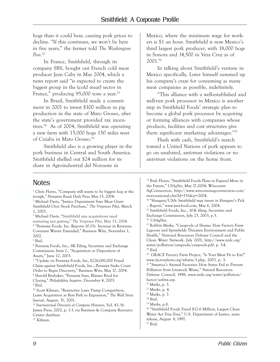hogs than it could bear, causing pork prices to decline. "If this continues, we won't be here in five years," the farmer told *The Washington Post*. 52

In France, Smithfield, through its company SBS, bought out French cold meat producer Jean Caby in May 2004, which a news report said "is expected to create the biggest group in the (cold meat) sector in France," producing  $95,000$  tons a year.<sup>53</sup>

In Brazil, Smithfield made a commitment in 2001 to invest \$100 million in pig production in the state of Mato Grosso, after the state's government provided tax incentives.54 As of 2004, Smithfield was operating a new farm with 15,000 hogs 150 miles west of Cuiaba in Mato Grosso.<sup>55</sup>

Smithfield also is a growing player in the pork business in Central and South America. Smithfield shelled out \$24 million for its share in Agroindustrial del Noroeste in

Mexico, where the minimum wage for workers is \$1 an hour. Smithfield is now Mexico's third largest pork producer, with 18,000 hogs in Sonora and 14,500 in Vera Cruz as of 2001.56

In talking about Smithfield's venture in Mexico specifically, Luter himself summed up his company's craze for consuming as many meat companies as possible, indefinitely.

ìThis alliance with a well-established and well-run pork processor in Mexico is another step in Smithfield Foods' strategic plan to become a global pork processor by acquiring or forming alliances with companies whose products, facilities and cost structures give them significant marketing advantages."<sup>57</sup>

Flush with cash, Smithfield's march toward a United Nations of pork appears to go on unabated, anti-trust violations or no anti-trust violations on the home front.

#### Notes

<sup>1</sup> Chris Flores, "Company still wants to be biggest hog at the trough,î *Hampton Roads Daily Press*, May 15, 2004. <sup>2</sup> Michael Davis, "Justice Department Sues Meat Giant Smithfield Over Stock Purchase," The Virginian Pilot, March 1, 2003. <sup>3</sup> Michael Davis, "Smithfield says acquisitions need nurturing not gutting,î *The Virginian Pilot,* May 15, 2004.

<sup>4</sup> "Pennexx Foods, Inc. Reports 10.1% Increase in Revenue; Covenant Wavier Extended," Business Wire, November 1, 2002.

5 Ibid.

6 Pennexx Foods, Inc., 8K Filing, Securities and Exchange Commission, Item 2., "Acquisition or Disposition of Assets," June 12, 2003.

<sup>7</sup> "Update on Pennexx Foods, Inc, \$226,000,000 Fraud Claim against Smithfield Foods, Inc.; Pennexx Seeks Court Order to Begin Discovery," Business Wire, May 17, 2004.  $^8$  Harold Brubaker, "Pennexx Sues, Blames Rival for Closing,î *Philadelphia Inquirer*, December 4, 2003. 9 Ibid.

<sup>10</sup> Scott Kilman, "Restrictive Laws Damp Competition, Leave Acquisition as Best Path to Expansion," The Wall Street *Journal*, August, 31, 2001.

<sup>11</sup> *International Directory of Company Histories*, Vol. 43, St. James Press, 2002, p. 1-3, via Business & Company Resource Center database.

12 Kilman.

<sup>13</sup> Ibid; Flores; "Smithfield Foods Plans to Expand More in the Future," *USAgNet*, May 17,2004, Wisconsin AgConnection, http://www.wisconsinagconnection.com/ story-national.cfm?Id=531&yr=2004. <sup>14</sup> "Hungary/USA: Smithfield may invest in Hungary's Pick - Report," www.just-food.com, May 6, 2004. 15 Smithfield Foods, Inc., 10-K filing, Securities and Exchange Commission, July 23, 2003, p.3. <sup>16</sup> USAgNet. <sup>17</sup> Robbin Marks, "Cesspools of Shame: How Factory Farm Lagoons and Sprayfields Threaten Environment and Public Health," National Resources Defense Council and the Clean Water Network, July 2001, http://www.nrdc.org/ water/pollution/cesspools/cesspools.pdf, p. 3-4. 18 Ibid. <sup>19</sup> GRACE Factory Farm Project, "Is Your Meat Fit to Eat?" www.factoryfarm.org/whatis/1.php, 2003, p. 3. <sup>20</sup> "America's Animal Factories: How States Fail to Prevent Pollution from Livestock Waste," Natural Resources Defense Council, 1998, www.nrdc.org/water/pollution/ factor/aafinx.asp. 21 Marks, p. 3. 22 Marks, p. 4. 23 Marks, p. 7. 24 Ibid. 25 Marks, p.8. <sup>26</sup> "Smithfield Foods Fined \$12.6 Million, Largest Clean Water Act Fine Ever," U.S. Department of Justice, news

release, August 8, 1997.

27 Ibid.